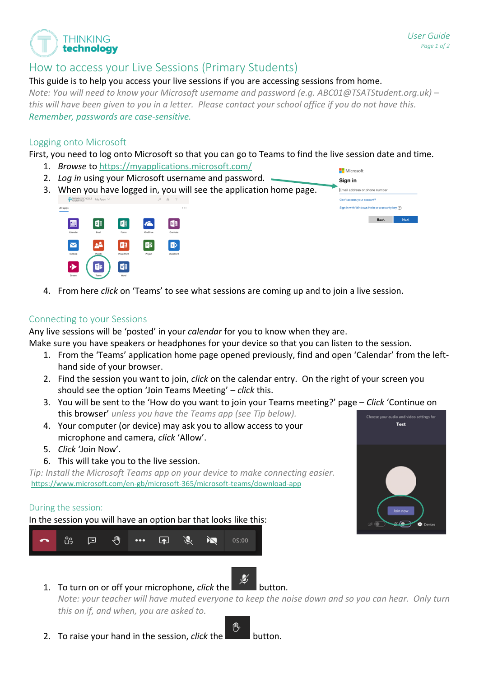$\blacksquare$  Microsoft

# How to access your Live Sessions (Primary Students)

#### This guide is to help you access your live sessions if you are accessing sessions from home.

*Note: You will need to know your Microsoft username and password (e.g. ABC01@TSATStudent.org.uk) – this will have been given to you in a letter. Please contact your school office if you do not have this. Remember, passwords are case-sensitive.*

## Logging onto Microsoft

**THINKING** technology

First, you need to log onto Microsoft so that you can go to Teams to find the live session date and time.

- 1. *Browse* to<https://myapplications.microsoft.com/>
- 2. *Log in* using your Microsoft username and password.
- Sign in 3. When you have logged in, you will see the application home page. Email address or phone nu Can't access your account? n in with Windows Hello or a se urity key  $\odot$ All apps  $N$  $P<sub>3</sub>$ **PB Mar**
- 4. From here *click* on 'Teams' to see what sessions are coming up and to join a live session.

## Connecting to your Sessions

Any live sessions will be 'posted' in your *calendar* for you to know when they are.

Make sure you have speakers or headphones for your device so that you can listen to the session.

- 1. From the 'Teams' application home page opened previously, find and open 'Calendar' from the lefthand side of your browser.
- 2. Find the session you want to join, *click* on the calendar entry. On the right of your screen you should see the option 'Join Teams Meeting' – *click* this.
- 3. You will be sent to the 'How do you want to join your Teams meeting?' page *Click* 'Continue on this browser' *unless you have the Teams app (see Tip below).* Choose vour au dio and video settings fo
- 4. Your computer (or device) may ask you to allow access to your microphone and camera, *click* 'Allow'.
- 5. *Click* 'Join Now'.
- 6. This will take you to the live session.

*Tip: Install the Microsoft Teams app on your device to make connecting easier.* <https://www.microsoft.com/en-gb/microsoft-365/microsoft-teams/download-app>

#### During the session:

In the session you will have an option bar that looks like this:



1. To turn on or off your microphone, *click* the **button**.

*Note: your teacher will have muted everyone to keep the noise down and so you can hear. Only turn this on if, and when, you are asked to.*

2. To raise your hand in the session, *click* the **button**.